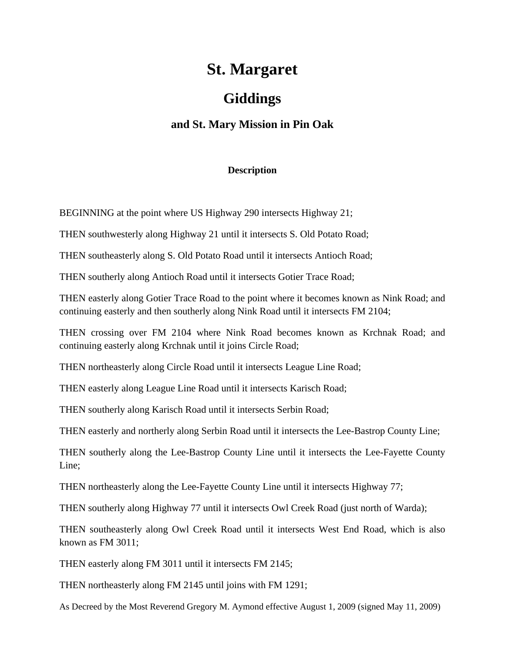## **St. Margaret**

## **Giddings**

## **and St. Mary Mission in Pin Oak**

## **Description**

BEGINNING at the point where US Highway 290 intersects Highway 21;

THEN southwesterly along Highway 21 until it intersects S. Old Potato Road;

THEN southeasterly along S. Old Potato Road until it intersects Antioch Road;

THEN southerly along Antioch Road until it intersects Gotier Trace Road;

THEN easterly along Gotier Trace Road to the point where it becomes known as Nink Road; and continuing easterly and then southerly along Nink Road until it intersects FM 2104;

THEN crossing over FM 2104 where Nink Road becomes known as Krchnak Road; and continuing easterly along Krchnak until it joins Circle Road;

THEN northeasterly along Circle Road until it intersects League Line Road;

THEN easterly along League Line Road until it intersects Karisch Road;

THEN southerly along Karisch Road until it intersects Serbin Road;

THEN easterly and northerly along Serbin Road until it intersects the Lee-Bastrop County Line;

THEN southerly along the Lee-Bastrop County Line until it intersects the Lee-Fayette County Line;

THEN northeasterly along the Lee-Fayette County Line until it intersects Highway 77;

THEN southerly along Highway 77 until it intersects Owl Creek Road (just north of Warda);

THEN southeasterly along Owl Creek Road until it intersects West End Road, which is also known as FM 3011;

THEN easterly along FM 3011 until it intersects FM 2145;

THEN northeasterly along FM 2145 until joins with FM 1291;

As Decreed by the Most Reverend Gregory M. Aymond effective August 1, 2009 (signed May 11, 2009)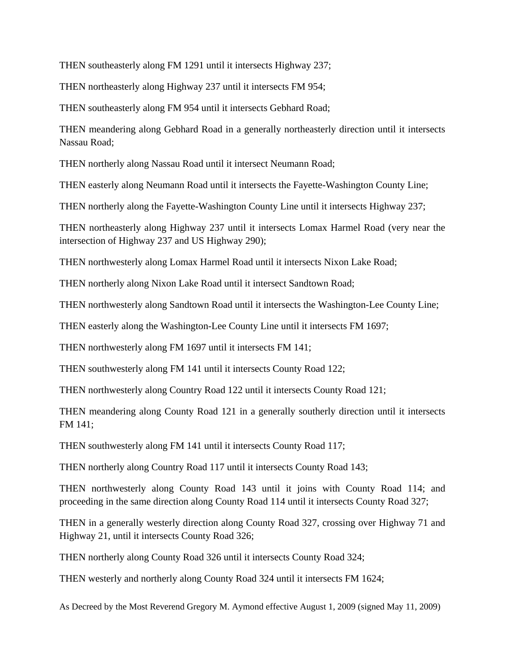THEN southeasterly along FM 1291 until it intersects Highway 237;

THEN northeasterly along Highway 237 until it intersects FM 954;

THEN southeasterly along FM 954 until it intersects Gebhard Road;

THEN meandering along Gebhard Road in a generally northeasterly direction until it intersects Nassau Road;

THEN northerly along Nassau Road until it intersect Neumann Road;

THEN easterly along Neumann Road until it intersects the Fayette-Washington County Line;

THEN northerly along the Fayette-Washington County Line until it intersects Highway 237;

THEN northeasterly along Highway 237 until it intersects Lomax Harmel Road (very near the intersection of Highway 237 and US Highway 290);

THEN northwesterly along Lomax Harmel Road until it intersects Nixon Lake Road;

THEN northerly along Nixon Lake Road until it intersect Sandtown Road;

THEN northwesterly along Sandtown Road until it intersects the Washington-Lee County Line;

THEN easterly along the Washington-Lee County Line until it intersects FM 1697;

THEN northwesterly along FM 1697 until it intersects FM 141;

THEN southwesterly along FM 141 until it intersects County Road 122;

THEN northwesterly along Country Road 122 until it intersects County Road 121;

THEN meandering along County Road 121 in a generally southerly direction until it intersects FM 141;

THEN southwesterly along FM 141 until it intersects County Road 117;

THEN northerly along Country Road 117 until it intersects County Road 143;

THEN northwesterly along County Road 143 until it joins with County Road 114; and proceeding in the same direction along County Road 114 until it intersects County Road 327;

THEN in a generally westerly direction along County Road 327, crossing over Highway 71 and Highway 21, until it intersects County Road 326;

THEN northerly along County Road 326 until it intersects County Road 324;

THEN westerly and northerly along County Road 324 until it intersects FM 1624;

As Decreed by the Most Reverend Gregory M. Aymond effective August 1, 2009 (signed May 11, 2009)